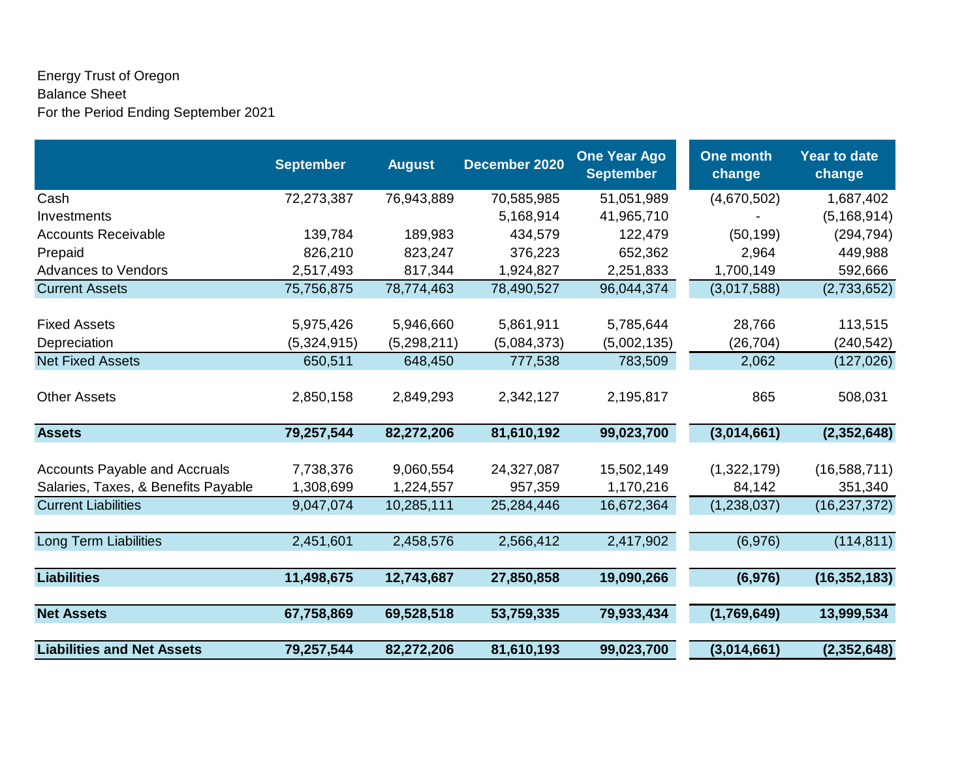## Energy Trust of Oregon Balance Sheet For the Period Ending September 2021

|                                                                             | <b>September</b>       | <b>August</b>          | December 2020         | <b>One Year Ago</b><br><b>September</b> | <b>One month</b><br>change | <b>Year to date</b><br>change |
|-----------------------------------------------------------------------------|------------------------|------------------------|-----------------------|-----------------------------------------|----------------------------|-------------------------------|
| Cash                                                                        | 72,273,387             | 76,943,889             | 70,585,985            | 51,051,989                              | (4,670,502)                | 1,687,402                     |
| Investments                                                                 |                        |                        | 5,168,914             | 41,965,710                              |                            | (5, 168, 914)                 |
| <b>Accounts Receivable</b>                                                  | 139,784                | 189,983                | 434,579               | 122,479                                 | (50, 199)                  | (294, 794)                    |
| Prepaid                                                                     | 826,210                | 823,247                | 376,223               | 652,362                                 | 2,964                      | 449,988                       |
| <b>Advances to Vendors</b>                                                  | 2,517,493              | 817,344                | 1,924,827             | 2,251,833                               | 1,700,149                  | 592,666                       |
| <b>Current Assets</b>                                                       | 75,756,875             | 78,774,463             | 78,490,527            | 96,044,374                              | (3,017,588)                | (2,733,652)                   |
| <b>Fixed Assets</b>                                                         | 5,975,426              | 5,946,660              | 5,861,911             | 5,785,644                               | 28,766                     | 113,515                       |
| Depreciation                                                                | (5,324,915)            | (5,298,211)            | (5,084,373)           | (5,002,135)                             | (26, 704)                  | (240, 542)                    |
| <b>Net Fixed Assets</b>                                                     | 650,511                | 648,450                | 777,538               | 783,509                                 | 2,062                      | (127, 026)                    |
| <b>Other Assets</b>                                                         | 2,850,158              | 2,849,293              | 2,342,127             | 2,195,817                               | 865                        | 508,031                       |
| <b>Assets</b>                                                               | 79,257,544             | 82,272,206             | 81,610,192            | 99,023,700                              | (3,014,661)                | (2,352,648)                   |
| <b>Accounts Payable and Accruals</b><br>Salaries, Taxes, & Benefits Payable | 7,738,376<br>1,308,699 | 9,060,554<br>1,224,557 | 24,327,087<br>957,359 | 15,502,149<br>1,170,216                 | (1,322,179)<br>84,142      | (16,588,711)<br>351,340       |
| <b>Current Liabilities</b>                                                  | 9,047,074              | 10,285,111             | 25,284,446            | 16,672,364                              | (1, 238, 037)              | (16, 237, 372)                |
|                                                                             |                        |                        |                       |                                         |                            |                               |
| <b>Long Term Liabilities</b>                                                | 2,451,601              | 2,458,576              | 2,566,412             | 2,417,902                               | (6,976)                    | (114, 811)                    |
| <b>Liabilities</b>                                                          | 11,498,675             | 12,743,687             | 27,850,858            | 19,090,266                              | (6, 976)                   | (16, 352, 183)                |
| <b>Net Assets</b>                                                           | 67,758,869             | 69,528,518             | 53,759,335            | 79,933,434                              | (1,769,649)                | 13,999,534                    |
| <b>Liabilities and Net Assets</b>                                           | 79,257,544             | 82,272,206             | 81,610,193            | 99,023,700                              | (3,014,661)                | (2, 352, 648)                 |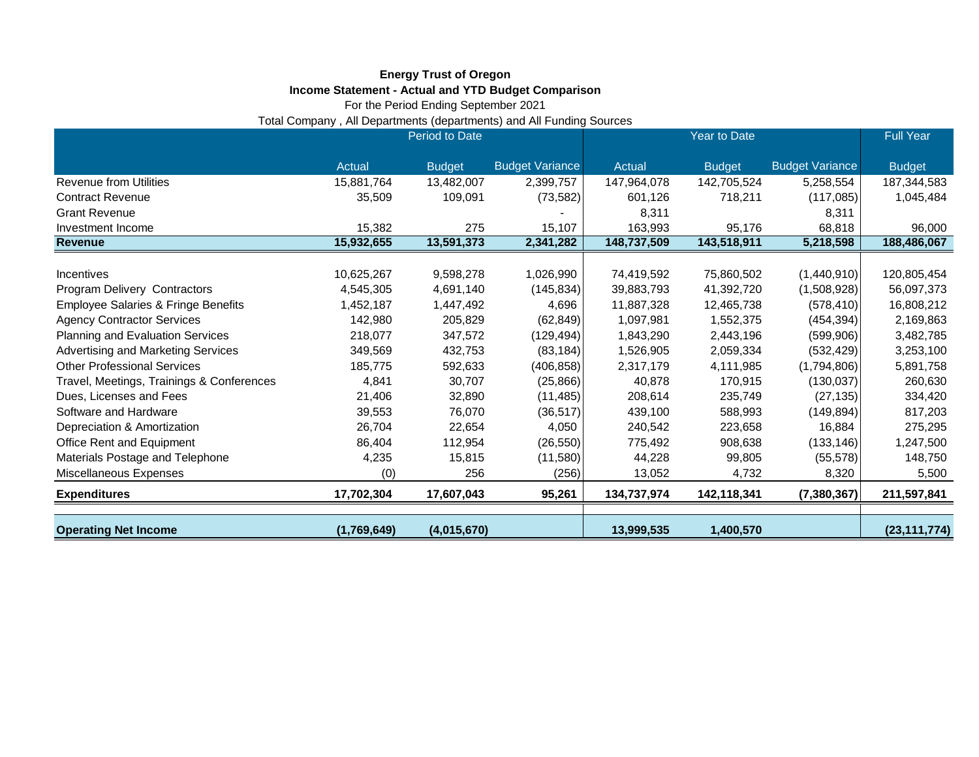## **Energy Trust of Oregon Income Statement - Actual and YTD Budget Comparison**

For the Period Ending September 2021

Total Company , All Departments (departments) and All Funding Sources

|                                                | Period to Date |               |                        | Year to Date |               |                        | <b>Full Year</b> |
|------------------------------------------------|----------------|---------------|------------------------|--------------|---------------|------------------------|------------------|
|                                                | Actual         | <b>Budget</b> | <b>Budget Variance</b> | Actual       | <b>Budget</b> | <b>Budget Variance</b> | <b>Budget</b>    |
| Revenue from Utilities                         | 15,881,764     | 13,482,007    | 2,399,757              | 147,964,078  | 142,705,524   | 5,258,554              | 187,344,583      |
| <b>Contract Revenue</b>                        | 35,509         | 109,091       | (73, 582)              | 601,126      | 718,211       | (117,085)              | 1,045,484        |
| <b>Grant Revenue</b>                           |                |               |                        | 8,311        |               | 8,311                  |                  |
| Investment Income                              | 15,382         | 275           | 15,107                 | 163,993      | 95,176        | 68,818                 | 96,000           |
| <b>Revenue</b>                                 | 15,932,655     | 13,591,373    | 2,341,282              | 148,737,509  | 143,518,911   | 5,218,598              | 188,486,067      |
|                                                |                |               |                        |              |               |                        |                  |
| Incentives                                     | 10,625,267     | 9,598,278     | 1,026,990              | 74,419,592   | 75,860,502    | (1,440,910)            | 120,805,454      |
| Program Delivery Contractors                   | 4,545,305      | 4,691,140     | (145, 834)             | 39,883,793   | 41,392,720    | (1,508,928)            | 56,097,373       |
| <b>Employee Salaries &amp; Fringe Benefits</b> | 1,452,187      | 1,447,492     | 4,696                  | 11,887,328   | 12,465,738    | (578, 410)             | 16,808,212       |
| <b>Agency Contractor Services</b>              | 142,980        | 205,829       | (62, 849)              | 1,097,981    | 1,552,375     | (454, 394)             | 2,169,863        |
| Planning and Evaluation Services               | 218,077        | 347,572       | (129, 494)             | 1,843,290    | 2,443,196     | (599, 906)             | 3,482,785        |
| Advertising and Marketing Services             | 349,569        | 432,753       | (83, 184)              | 1,526,905    | 2,059,334     | (532, 429)             | 3,253,100        |
| <b>Other Professional Services</b>             | 185,775        | 592,633       | (406, 858)             | 2,317,179    | 4,111,985     | (1,794,806)            | 5,891,758        |
| Travel, Meetings, Trainings & Conferences      | 4,841          | 30,707        | (25, 866)              | 40,878       | 170,915       | (130, 037)             | 260,630          |
| Dues, Licenses and Fees                        | 21,406         | 32,890        | (11, 485)              | 208,614      | 235,749       | (27, 135)              | 334,420          |
| Software and Hardware                          | 39,553         | 76,070        | (36, 517)              | 439,100      | 588,993       | (149, 894)             | 817,203          |
| Depreciation & Amortization                    | 26,704         | 22,654        | 4,050                  | 240,542      | 223,658       | 16,884                 | 275,295          |
| Office Rent and Equipment                      | 86,404         | 112,954       | (26, 550)              | 775,492      | 908,638       | (133, 146)             | 1,247,500        |
| Materials Postage and Telephone                | 4,235          | 15,815        | (11,580)               | 44,228       | 99,805        | (55, 578)              | 148,750          |
| Miscellaneous Expenses                         | (0)            | 256           | (256)                  | 13,052       | 4,732         | 8,320                  | 5,500            |
| <b>Expenditures</b>                            | 17,702,304     | 17,607,043    | 95,261                 | 134,737,974  | 142,118,341   | (7, 380, 367)          | 211,597,841      |
|                                                |                |               |                        |              |               |                        |                  |
| <b>Operating Net Income</b>                    | (1,769,649)    | (4,015,670)   |                        | 13,999,535   | 1,400,570     |                        | (23, 111, 774)   |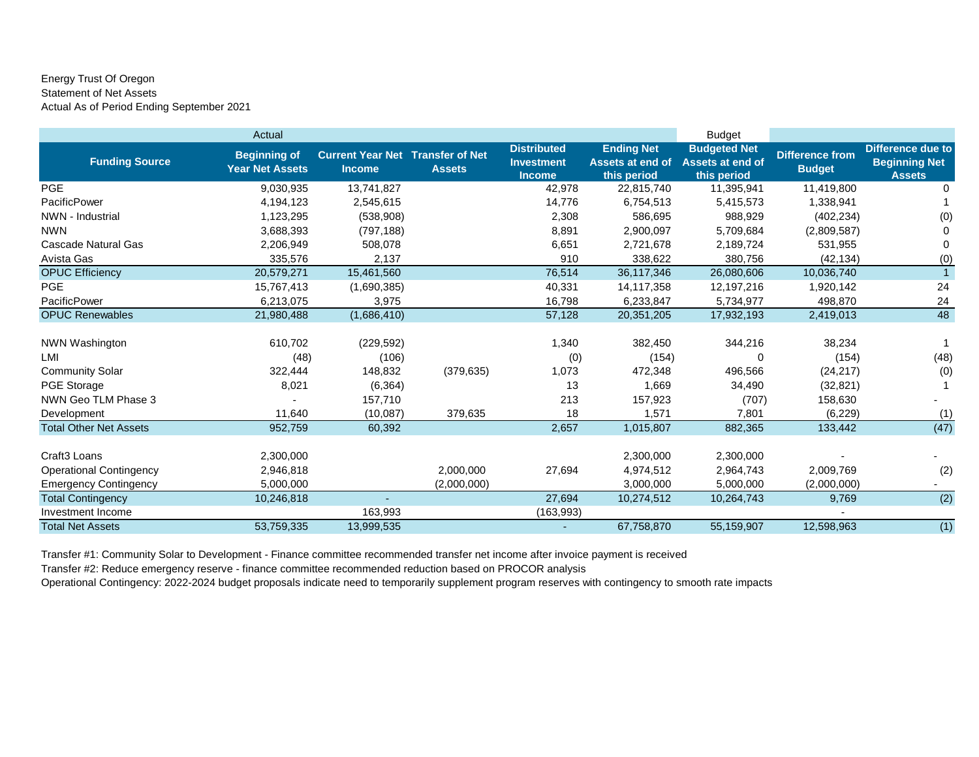## Energy Trust Of Oregon Statement of Net Assets Actual As of Period Ending September 2021

|                                | Actual                                        |                                                          |               |                                                          |                                                      | <b>Budget</b>                                                 |                                         |                                                            |
|--------------------------------|-----------------------------------------------|----------------------------------------------------------|---------------|----------------------------------------------------------|------------------------------------------------------|---------------------------------------------------------------|-----------------------------------------|------------------------------------------------------------|
| <b>Funding Source</b>          | <b>Beginning of</b><br><b>Year Net Assets</b> | <b>Current Year Net Transfer of Net</b><br><b>Income</b> | <b>Assets</b> | <b>Distributed</b><br><b>Investment</b><br><b>Income</b> | <b>Ending Net</b><br>Assets at end of<br>this period | <b>Budgeted Net</b><br><b>Assets at end of</b><br>this period | <b>Difference from</b><br><b>Budget</b> | Difference due to<br><b>Beginning Net</b><br><b>Assets</b> |
| <b>PGE</b>                     | 9,030,935                                     | 13,741,827                                               |               | 42,978                                                   | 22,815,740                                           | 11,395,941                                                    | 11,419,800                              | 0                                                          |
| <b>PacificPower</b>            | 4,194,123                                     | 2,545,615                                                |               | 14,776                                                   | 6,754,513                                            | 5,415,573                                                     | 1,338,941                               |                                                            |
| NWN - Industrial               | 1,123,295                                     | (538,908)                                                |               | 2,308                                                    | 586,695                                              | 988,929                                                       | (402, 234)                              | (0)                                                        |
| <b>NWN</b>                     | 3,688,393                                     | (797, 188)                                               |               | 8,891                                                    | 2,900,097                                            | 5,709,684                                                     | (2,809,587)                             | $\Omega$                                                   |
| Cascade Natural Gas            | 2,206,949                                     | 508,078                                                  |               | 6,651                                                    | 2,721,678                                            | 2,189,724                                                     | 531,955                                 | 0                                                          |
| Avista Gas                     | 335,576                                       | 2,137                                                    |               | 910                                                      | 338,622                                              | 380.756                                                       | (42, 134)                               | (0)                                                        |
| <b>OPUC Efficiency</b>         | 20,579,271                                    | 15,461,560                                               |               | 76,514                                                   | 36,117,346                                           | 26,080,606                                                    | 10,036,740                              | $\overline{1}$                                             |
| PGE                            | 15,767,413                                    | (1,690,385)                                              |               | 40,331                                                   | 14,117,358                                           | 12,197,216                                                    | 1,920,142                               | 24                                                         |
| PacificPower                   | 6,213,075                                     | 3,975                                                    |               | 16,798                                                   | 6,233,847                                            | 5,734,977                                                     | 498,870                                 | 24                                                         |
| <b>OPUC Renewables</b>         | 21,980,488                                    | (1,686,410)                                              |               | 57,128                                                   | 20,351,205                                           | 17,932,193                                                    | 2,419,013                               | 48                                                         |
| <b>NWN Washington</b>          | 610,702                                       | (229, 592)                                               |               | 1,340                                                    | 382,450                                              | 344,216                                                       | 38,234                                  | 1                                                          |
| LMI                            | (48)                                          | (106)                                                    |               | (0)                                                      | (154)                                                | 0                                                             | (154)                                   | (48)                                                       |
| <b>Community Solar</b>         | 322,444                                       | 148,832                                                  | (379, 635)    | 1,073                                                    | 472,348                                              | 496,566                                                       | (24, 217)                               | (0)                                                        |
| PGE Storage                    | 8,021                                         | (6, 364)                                                 |               | 13                                                       | 1,669                                                | 34,490                                                        | (32, 821)                               |                                                            |
| NWN Geo TLM Phase 3            |                                               | 157,710                                                  |               | 213                                                      | 157,923                                              | (707)                                                         | 158,630                                 |                                                            |
| Development                    | 11,640                                        | (10,087)                                                 | 379,635       | 18                                                       | 1,571                                                | 7,801                                                         | (6, 229)                                | (1)                                                        |
| <b>Total Other Net Assets</b>  | 952,759                                       | 60,392                                                   |               | 2,657                                                    | 1,015,807                                            | 882,365                                                       | 133,442                                 | (47)                                                       |
| Craft <sub>3</sub> Loans       | 2,300,000                                     |                                                          |               |                                                          | 2,300,000                                            | 2,300,000                                                     |                                         |                                                            |
| <b>Operational Contingency</b> | 2,946,818                                     |                                                          | 2,000,000     | 27,694                                                   | 4,974,512                                            | 2,964,743                                                     | 2,009,769                               | (2)                                                        |
| <b>Emergency Contingency</b>   | 5,000,000                                     |                                                          | (2,000,000)   |                                                          | 3,000,000                                            | 5,000,000                                                     | (2,000,000)                             |                                                            |
| <b>Total Contingency</b>       | 10,246,818                                    |                                                          |               | 27,694                                                   | 10,274,512                                           | 10,264,743                                                    | 9,769                                   | (2)                                                        |
| Investment Income              |                                               | 163,993                                                  |               | (163, 993)                                               |                                                      |                                                               |                                         |                                                            |
| <b>Total Net Assets</b>        | 53,759,335                                    | 13,999,535                                               |               | $\sim$                                                   | 67,758,870                                           | 55,159,907                                                    | 12,598,963                              | (1)                                                        |

Transfer #1: Community Solar to Development - Finance committee recommended transfer net income after invoice payment is received

Transfer #2: Reduce emergency reserve - finance committee recommended reduction based on PROCOR analysis

Operational Contingency: 2022-2024 budget proposals indicate need to temporarily supplement program reserves with contingency to smooth rate impacts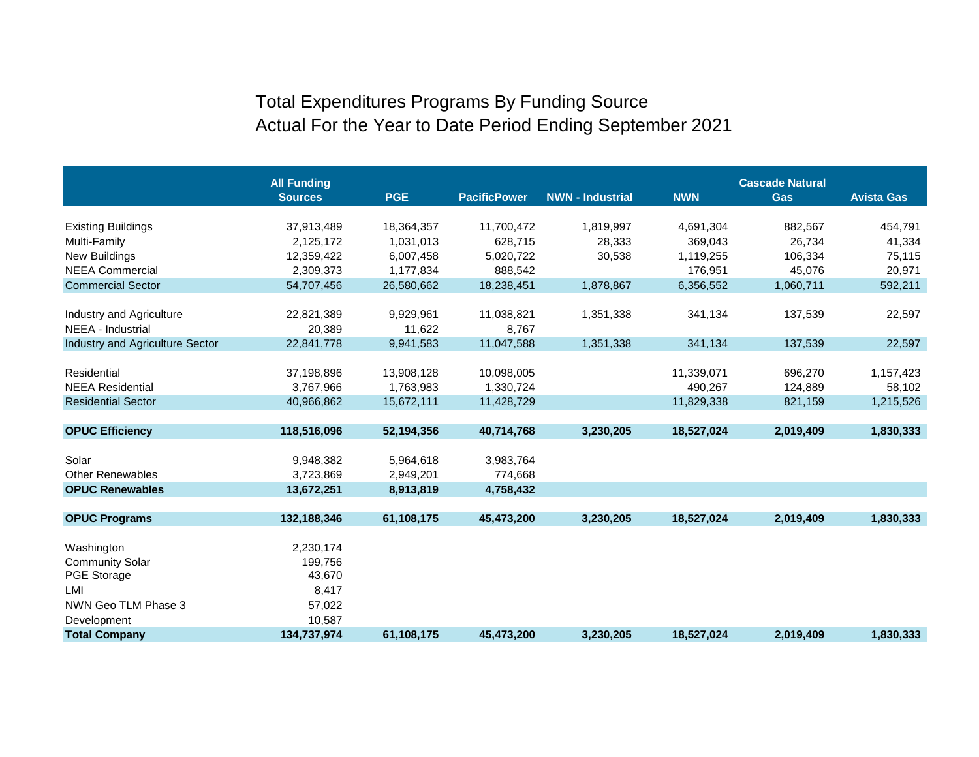## Total Expenditures Programs By Funding Source Actual For the Year to Date Period Ending September 2021

|                                               | <b>All Funding</b>   |                     |                     |                         | <b>Cascade Natural</b> |            |                   |  |
|-----------------------------------------------|----------------------|---------------------|---------------------|-------------------------|------------------------|------------|-------------------|--|
|                                               | <b>Sources</b>       | <b>PGE</b>          | <b>PacificPower</b> | <b>NWN - Industrial</b> | <b>NWN</b>             | <b>Gas</b> | <b>Avista Gas</b> |  |
|                                               |                      |                     |                     |                         |                        |            |                   |  |
| <b>Existing Buildings</b>                     | 37,913,489           | 18,364,357          | 11,700,472          | 1,819,997               | 4,691,304              | 882,567    | 454,791           |  |
| Multi-Family                                  | 2,125,172            | 1,031,013           | 628.715             | 28,333                  | 369,043                | 26.734     | 41,334            |  |
| New Buildings                                 | 12,359,422           | 6,007,458           | 5,020,722           | 30,538                  | 1,119,255              | 106,334    | 75,115            |  |
| <b>NEEA Commercial</b>                        | 2,309,373            | 1,177,834           | 888,542             |                         | 176,951                | 45,076     | 20,971            |  |
| <b>Commercial Sector</b>                      | 54,707,456           | 26,580,662          | 18,238,451          | 1,878,867               | 6,356,552              | 1,060,711  | 592,211           |  |
|                                               |                      |                     |                     |                         |                        |            |                   |  |
| Industry and Agriculture<br>NEEA - Industrial | 22,821,389<br>20,389 | 9,929,961<br>11,622 | 11,038,821<br>8,767 | 1,351,338               | 341,134                | 137,539    | 22,597            |  |
| Industry and Agriculture Sector               | 22,841,778           | 9,941,583           | 11,047,588          | 1,351,338               | 341,134                | 137,539    | 22,597            |  |
|                                               |                      |                     |                     |                         |                        |            |                   |  |
| Residential                                   | 37,198,896           | 13,908,128          | 10,098,005          |                         | 11,339,071             | 696,270    | 1,157,423         |  |
| <b>NEEA Residential</b>                       | 3,767,966            | 1,763,983           | 1,330,724           |                         | 490,267                | 124,889    | 58,102            |  |
| <b>Residential Sector</b>                     | 40,966,862           | 15,672,111          | 11,428,729          |                         | 11,829,338             | 821,159    | 1,215,526         |  |
|                                               |                      |                     |                     |                         |                        |            |                   |  |
| <b>OPUC Efficiency</b>                        | 118,516,096          | 52,194,356          | 40,714,768          | 3,230,205               | 18,527,024             | 2,019,409  | 1,830,333         |  |
|                                               |                      |                     |                     |                         |                        |            |                   |  |
| Solar                                         | 9,948,382            | 5,964,618           | 3,983,764           |                         |                        |            |                   |  |
| <b>Other Renewables</b>                       | 3,723,869            | 2,949,201           | 774,668             |                         |                        |            |                   |  |
| <b>OPUC Renewables</b>                        | 13,672,251           | 8,913,819           | 4,758,432           |                         |                        |            |                   |  |
| <b>OPUC Programs</b>                          | 132,188,346          | 61,108,175          | 45,473,200          | 3,230,205               | 18,527,024             | 2,019,409  | 1,830,333         |  |
|                                               |                      |                     |                     |                         |                        |            |                   |  |
| Washington                                    | 2,230,174            |                     |                     |                         |                        |            |                   |  |
| <b>Community Solar</b>                        | 199,756              |                     |                     |                         |                        |            |                   |  |
| <b>PGE Storage</b>                            | 43,670               |                     |                     |                         |                        |            |                   |  |
| LMI                                           | 8,417                |                     |                     |                         |                        |            |                   |  |
| NWN Geo TLM Phase 3                           | 57,022               |                     |                     |                         |                        |            |                   |  |
| Development                                   | 10,587               |                     |                     |                         |                        |            |                   |  |
| <b>Total Company</b>                          | 134,737,974          | 61,108,175          | 45,473,200          | 3,230,205               | 18,527,024             | 2,019,409  | 1,830,333         |  |